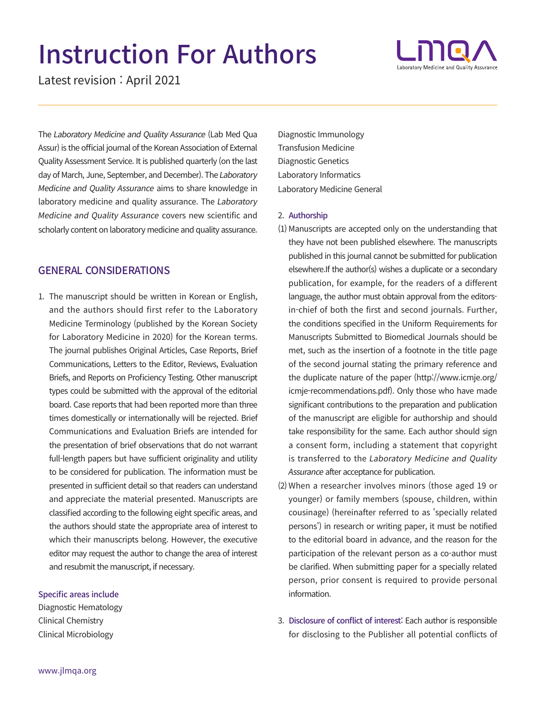# Instruction For Authors

Latest revision : April 2021

The Laboratory Medicine and Quality Assurance (Lab Med Qua Assur) is the official journal of the Korean Association of External Quality Assessment Service. It is published quarterly (on the last day of March, June, September, and December). The Laboratory Medicine and Quality Assurance aims to share knowledge in laboratory medicine and quality assurance. The Laboratory Medicine and Quality Assurance covers new scientific and scholarly content on laboratory medicine and quality assurance.

#### GENERAL CONSIDERATIONS

1. The manuscript should be written in Korean or English, and the authors should first refer to the Laboratory Medicine Terminology (published by the Korean Society for Laboratory Medicine in 2020) for the Korean terms. The journal publishes Original Articles, Case Reports, Brief Communications, Letters to the Editor, Reviews, Evaluation Briefs, and Reports on Proficiency Testing. Other manuscript types could be submitted with the approval of the editorial board. Case reports that had been reported more than three times domestically or internationally will be rejected. Brief Communications and Evaluation Briefs are intended for the presentation of brief observations that do not warrant full-length papers but have sufficient originality and utility to be considered for publication. The information must be presented in sufficient detail so that readers can understand and appreciate the material presented. Manuscripts are classified according to the following eight specific areas, and the authors should state the appropriate area of interest to which their manuscripts belong. However, the executive editor may request the author to change the area of interest and resubmit the manuscript, if necessary.

#### Specific areas include

Diagnostic Hematology Clinical Chemistry Clinical Microbiology

Diagnostic Immunology Transfusion Medicine Diagnostic Genetics Laboratory Informatics Laboratory Medicine General

#### 2. Authorship

- (1) Manuscripts are accepted only on the understanding that they have not been published elsewhere. The manuscripts published in this journal cannot be submitted for publication elsewhere.If the author(s) wishes a duplicate or a secondary publication, for example, for the readers of a different language, the author must obtain approval from the editorsin-chief of both the first and second journals. Further, the conditions specified in the Uniform Requirements for Manuscripts Submitted to Biomedical Journals should be met, such as the insertion of a footnote in the title page of the second journal stating the primary reference and the duplicate nature of the paper [\(http://www.icmje.org/](http://www.icmje.org/icmje-recommendations.pdf) [icmje-recommendations.pdf](http://www.icmje.org/icmje-recommendations.pdf)). Only those who have made significant contributions to the preparation and publication of the manuscript are eligible for authorship and should take responsibility for the same. Each author should sign a consent form, including a statement that copyright is transferred to the Laboratory Medicine and Quality Assurance after acceptance for publication.
- (2) When a researcher involves minors (those aged 19 or younger) or family members (spouse, children, within cousinage) (hereinafter referred to as 'specially related persons') in research or writing paper, it must be notified to the editorial board in advance, and the reason for the participation of the relevant person as a co-author must be clarified. When submitting paper for a specially related person, prior consent is required to provide personal information.
- 3. Disclosure of conflict of interest: Each author is responsible for disclosing to the Publisher all potential conflicts of

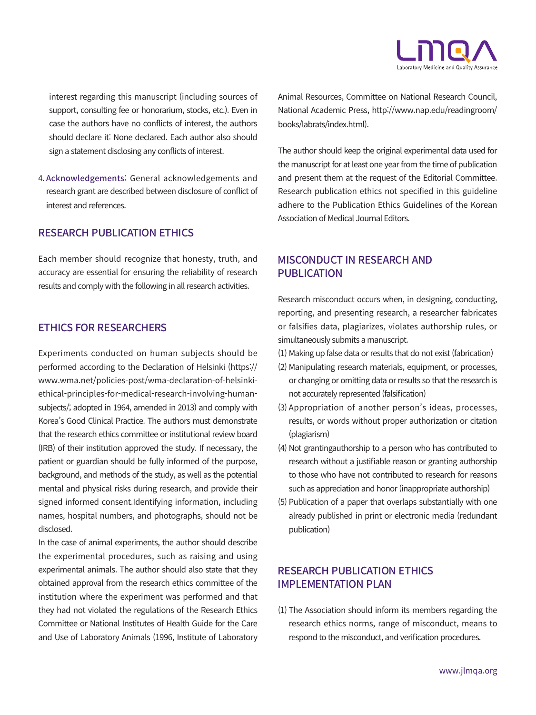

interest regarding this manuscript (including sources of support, consulting fee or honorarium, stocks, etc.). Even in case the authors have no conflicts of interest, the authors should declare it: None declared. Each author also should sign a statement disclosing any conflicts of interest.

4. Acknowledgements: General acknowledgements and research grant are described between disclosure of conflict of interest and references.

## RESEARCH PUBLICATION ETHICS

Each member should recognize that honesty, truth, and accuracy are essential for ensuring the reliability of research results and comply with the following in all research activities.

#### ETHICS FOR RESEARCHERS

Experiments conducted on human subjects should be performed according to the Declaration of Helsinki (https:// www.wma.net/policies-post/wma-declaration-of-helsinkiethical-principles-for-medical-research-involving-humansubjects/; adopted in 1964, amended in 2013) and comply with Korea's Good Clinical Practice. The authors must demonstrate that the research ethics committee or institutional review board (IRB) of their institution approved the study. If necessary, the patient or guardian should be fully informed of the purpose, background, and methods of the study, as well as the potential mental and physical risks during research, and provide their signed informed consent.Identifying information, including names, hospital numbers, and photographs, should not be disclosed.

In the case of animal experiments, the author should describe the experimental procedures, such as raising and using experimental animals. The author should also state that they obtained approval from the research ethics committee of the institution where the experiment was performed and that they had not violated the regulations of the Research Ethics Committee or National Institutes of Health Guide for the Care and Use of Laboratory Animals (1996, Institute of Laboratory Animal Resources, Committee on National Research Council, National Academic Press, http://www.nap.edu/readingroom/ books/labrats/index.html).

The author should keep the original experimental data used for the manuscript for at least one year from the time of publication and present them at the request of the Editorial Committee. Research publication ethics not specified in this guideline adhere to the Publication Ethics Guidelines of the Korean Association of Medical Journal Editors.

### MISCONDUCT IN RESEARCH AND PUBLICATION

Research misconduct occurs when, in designing, conducting, reporting, and presenting research, a researcher fabricates or falsifies data, plagiarizes, violates authorship rules, or simultaneously submits a manuscript.

- (1) Making up false data or results that do not exist (fabrication)
- (2) Manipulating research materials, equipment, or processes, or changing or omitting data or results so that the research is not accurately represented (falsification)
- (3) Appropriation of another person's ideas, processes, results, or words without proper authorization or citation (plagiarism)
- (4) Not grantingauthorship to a person who has contributed to research without a justifiable reason or granting authorship to those who have not contributed to research for reasons such as appreciation and honor (inappropriate authorship)
- (5) Publication of a paper that overlaps substantially with one already published in print or electronic media (redundant publication)

### RESEARCH PUBLICATION ETHICS IMPLEMENTATION PLAN

 $(1)$  The Association should inform its members regarding the research ethics norms, range of misconduct, means to respond to the misconduct, and verification procedures.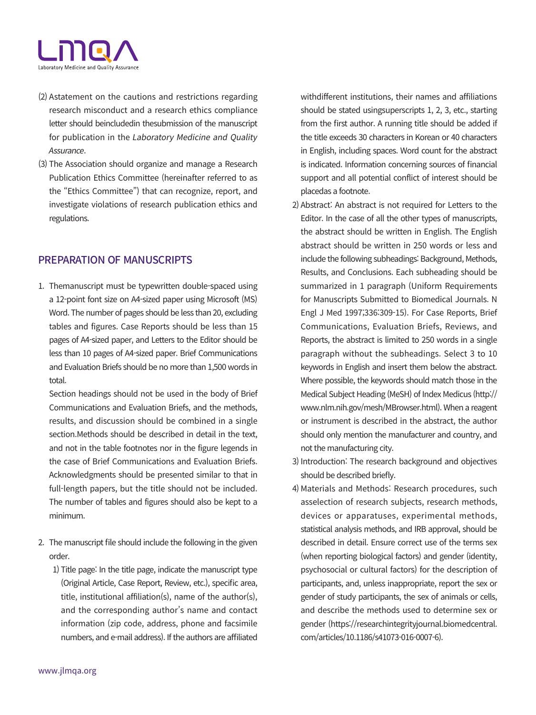

- (2) Astatement on the cautions and restrictions regarding research misconduct and a research ethics compliance letter should beincludedin thesubmission of the manuscript for publication in the Laboratory Medicine and Quality Assurance.
- (3) The Association should organize and manage a Research Publication Ethics Committee (hereinafter referred to as the "Ethics Committee") that can recognize, report, and investigate violations of research publication ethics and regulations.

### PREPARATION OF MANUSCRIPTS

1. Themanuscript must be typewritten double-spaced using a 12-point font size on A4-sized paper using Microsoft (MS) Word. The number of pages should be less than 20, excluding tables and figures. Case Reports should be less than 15 pages of A4-sized paper, and Letters to the Editor should be less than 10 pages of A4-sized paper. Brief Communications and Evaluation Briefs should be no more than 1,500 words in total.

Section headings should not be used in the body of Brief Communications and Evaluation Briefs, and the methods, results, and discussion should be combined in a single section.Methods should be described in detail in the text, and not in the table footnotes nor in the figure legends in the case of Brief Communications and Evaluation Briefs. Acknowledgments should be presented similar to that in full-length papers, but the title should not be included. The number of tables and figures should also be kept to a minimum.

- 2. The manuscript file should include the following in the given order.
	- 1) Title page: In the title page, indicate the manuscript type (Original Article, Case Report, Review, etc.), specific area, title, institutional affiliation(s), name of the author(s), and the corresponding author's name and contact information (zip code, address, phone and facsimile numbers, and e-mail address). If the authors are affiliated

withdifferent institutions, their names and affiliations should be stated usingsuperscripts 1, 2, 3, etc., starting from the first author. A running title should be added if the title exceeds 30 characters in Korean or 40 characters in English, including spaces. Word count for the abstract is indicated. Information concerning sources of financial support and all potential conflict of interest should be placedas a footnote.

- 2) Abstract: An abstract is not required for Letters to the Editor. In the case of all the other types of manuscripts, the abstract should be written in English. The English abstract should be written in 250 words or less and include the following subheadings: Background, Methods, Results, and Conclusions. Each subheading should be summarized in 1 paragraph (Uniform Requirements for Manuscripts Submitted to Biomedical Journals. N Engl J Med 1997;336:309-15). For Case Reports, Brief Communications, Evaluation Briefs, Reviews, and Reports, the abstract is limited to 250 words in a single paragraph without the subheadings. Select 3 to 10 keywords in English and insert them below the abstract. Where possible, the keywords should match those in the Medical Subject Heading (MeSH) of Index Medicus (http:// www.nlm.nih.gov/mesh/MBrowser.html). When a reagent or instrument is described in the abstract, the author should only mention the manufacturer and country, and not the manufacturing city.
- 3) Introduction: The research background and objectives should be described briefly.
- 4) Materials and Methods: Research procedures, such asselection of research subjects, research methods, devices or apparatuses, experimental methods, statistical analysis methods, and IRB approval, should be described in detail. Ensure correct use of the terms sex (when reporting biological factors) and gender (identity, psychosocial or cultural factors) for the description of participants, and, unless inappropriate, report the sex or gender of study participants, the sex of animals or cells, and describe the methods used to determine sex or gender [\(https://researchintegrityjournal.biomedcentral.](https://researchintegrityjournal.biomedcentral.com/articles/10.1186/s41073-016-0007-6) [com/articles/10.1186/s41073-016-0007-6\)](https://researchintegrityjournal.biomedcentral.com/articles/10.1186/s41073-016-0007-6).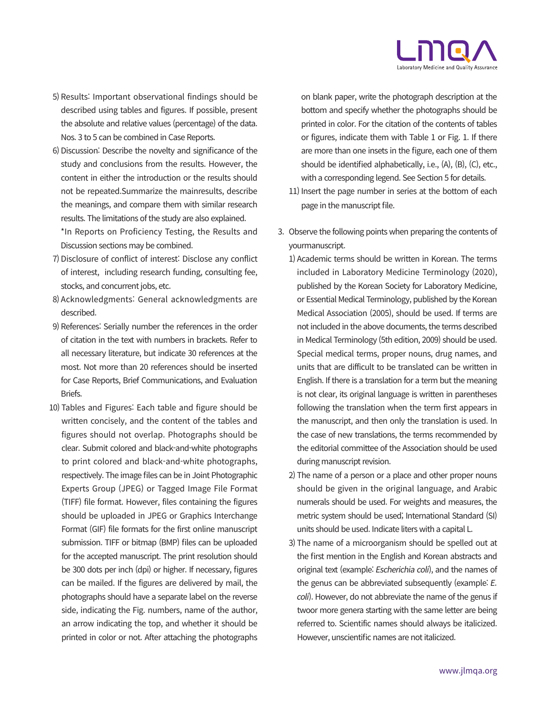

- 5) Results: Important observational findings should be described using tables and figures. If possible, present the absolute and relative values (percentage) of the data. Nos. 3 to 5 can be combined in Case Reports.
- 6) Discussion: Describe the novelty and significance of the study and conclusions from the results. However, the content in either the introduction or the results should not be repeated.Summarize the mainresults, describe the meanings, and compare them with similar research results. The limitations of the study are also explained.

\*In Reports on Proficiency Testing, the Results and Discussion sections may be combined.

- 7) Disclosure of conflict of interest: Disclose any conflict of interest, including research funding, consulting fee, stocks, and concurrent jobs, etc.
- 8) Acknowledgments: General acknowledgments are described.
- 9) References: Serially number the references in the order of citation in the text with numbers in brackets. Refer to all necessary literature, but indicate 30 references at the most. Not more than 20 references should be inserted for Case Reports, Brief Communications, and Evaluation Briefs.
- 10) Tables and Figures: Each table and figure should be written concisely, and the content of the tables and figures should not overlap. Photographs should be clear. Submit colored and black-and-white photographs to print colored and black-and-white photographs, respectively. The image files can be in Joint Photographic Experts Group (JPEG) or Tagged Image File Format (TIFF) file format. However, files containing the figures should be uploaded in JPEG or Graphics Interchange Format (GIF) file formats for the first online manuscript submission. TIFF or bitmap (BMP) files can be uploaded for the accepted manuscript. The print resolution should be 300 dots per inch (dpi) or higher. If necessary, figures can be mailed. If the figures are delivered by mail, the photographs should have a separate label on the reverse side, indicating the Fig. numbers, name of the author, an arrow indicating the top, and whether it should be printed in color or not. After attaching the photographs

on blank paper, write the photograph description at the bottom and specify whether the photographs should be printed in color. For the citation of the contents of tables or figures, indicate them with Table 1 or Fig. 1. If there are more than one insets in the figure, each one of them should be identified alphabetically, i.e., (A), (B), (C), etc., with a corresponding legend. See Section 5 for details.

- 11) Insert the page number in series at the bottom of each page in the manuscript file.
- 3. Observe the following points when preparing the contents of yourmanuscript.
	- 1) Academic terms should be written in Korean. The terms included in Laboratory Medicine Terminology (2020), published by the Korean Society for Laboratory Medicine, or Essential Medical Terminology, published by the Korean Medical Association (2005), should be used. If terms are not included in the above documents, the terms described in Medical Terminology (5th edition, 2009) should be used. Special medical terms, proper nouns, drug names, and units that are difficult to be translated can be written in English. If there is a translation for a term but the meaning is not clear, its original language is written in parentheses following the translation when the term first appears in the manuscript, and then only the translation is used. In the case of new translations, the terms recommended by the editorial committee of the Association should be used during manuscript revision.
	- 2) The name of a person or a place and other proper nouns should be given in the original language, and Arabic numerals should be used. For weights and measures, the metric system should be used; International Standard (SI) units should be used. Indicate liters with a capital L.
	- 3) The name of a microorganism should be spelled out at the first mention in the English and Korean abstracts and original text (example: Escherichia coli), and the names of the genus can be abbreviated subsequently (example: E. coli). However, do not abbreviate the name of the genus if twoor more genera starting with the same letter are being referred to. Scientific names should always be italicized. However, unscientific names are not italicized.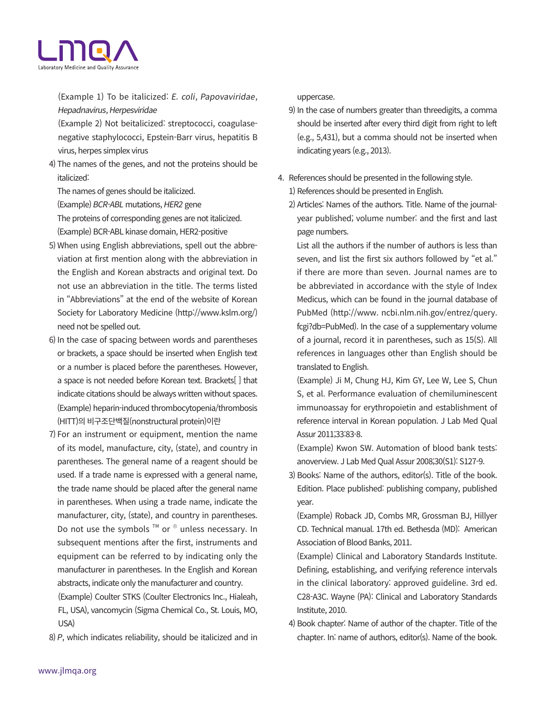

(Example 1) To be italicized: E. coli, Papovaviridae, Hepadnavirus, Herpesviridae

(Example 2) Not beitalicized: streptococci, coagulasenegative staphylococci, Epstein-Barr virus, hepatitis B virus, herpes simplex virus

4) The names of the genes, and not the proteins should be italicized:

The names of genes should be italicized. (Example) BCR-ABL mutations, HER2 gene

The proteins of corresponding genes are not italicized.

(Example) BCR-ABL kinase domain, HER2-positive

- 5) When using English abbreviations, spell out the abbreviation at first mention along with the abbreviation in the English and Korean abstracts and original text. Do not use an abbreviation in the title. The terms listed in "Abbreviations" at the end of the website of Korean Society for Laboratory Medicine (http://www.kslm.org/) need not be spelled out.
- 6) In the case of spacing between words and parentheses or brackets, a space should be inserted when English text or a number is placed before the parentheses. However, a space is not needed before Korean text. Brackets[ ] that indicate citations should be always written without spaces. (Example) heparin-induced thrombocytopenia/thrombosis (HITT)의 비구조단백질(nonstructural protein)이란
- 7) For an instrument or equipment, mention the name of its model, manufacture, city, (state), and country in parentheses. The general name of a reagent should be used. If a trade name is expressed with a general name, the trade name should be placed after the general name in parentheses. When using a trade name, indicate the manufacturer, city, (state), and country in parentheses. Do not use the symbols  $TM$  or  $\Phi$  unless necessary. In subsequent mentions after the first, instruments and equipment can be referred to by indicating only the manufacturer in parentheses. In the English and Korean abstracts, indicate only the manufacturer and country.

(Example) Coulter STKS (Coulter Electronics Inc., Hialeah, FL, USA), vancomycin (Sigma Chemical Co., St. Louis, MO, USA)

8) P, which indicates reliability, should be italicized and in

uppercase.

- 9) In the case of numbers greater than threedigits, a comma should be inserted after every third digit from right to left (e.g., 5,431), but a comma should not be inserted when indicating years (e.g., 2013).
- 4. References should be presented in the following style.
	- 1) References should be presented in English.
	- 2) Articles: Names of the authors. Title. Name of the journalyear published; volume number: and the first and last page numbers.

List all the authors if the number of authors is less than seven, and list the first six authors followed by "et al." if there are more than seven. Journal names are to be abbreviated in accordance with the style of Index Medicus, which can be found in the journal database of PubMed (http://www. ncbi.nlm.nih.gov/entrez/query. fcgi?db=PubMed). In the case of a supplementary volume of a journal, record it in parentheses, such as 15(S). All references in languages other than English should be translated to English.

(Example) Ji M, Chung HJ, Kim GY, Lee W, Lee S, Chun S, et al. Performance evaluation of chemiluminescent immunoassay for erythropoietin and establishment of reference interval in Korean population. J Lab Med Qual Assur 2011;33:83-8.

(Example) Kwon SW. Automation of blood bank tests: anoverview. J Lab Med Qual Assur 2008;30(S1): S127-9.

3) Books: Name of the authors, editor(s). Title of the book. Edition. Place published: publishing company, published year.

(Example) Roback JD, Combs MR, Grossman BJ, Hillyer CD. Technical manual. 17th ed. Bethesda (MD): American Association of Blood Banks, 2011.

(Example) Clinical and Laboratory Standards Institute. Defining, establishing, and verifying reference intervals in the clinical laboratory: approved guideline. 3rd ed. C28-A3C. Wayne (PA): Clinical and Laboratory Standards Institute, 2010.

4) Book chapter: Name of author of the chapter. Title of the chapter. In: name of authors, editor(s). Name of the book.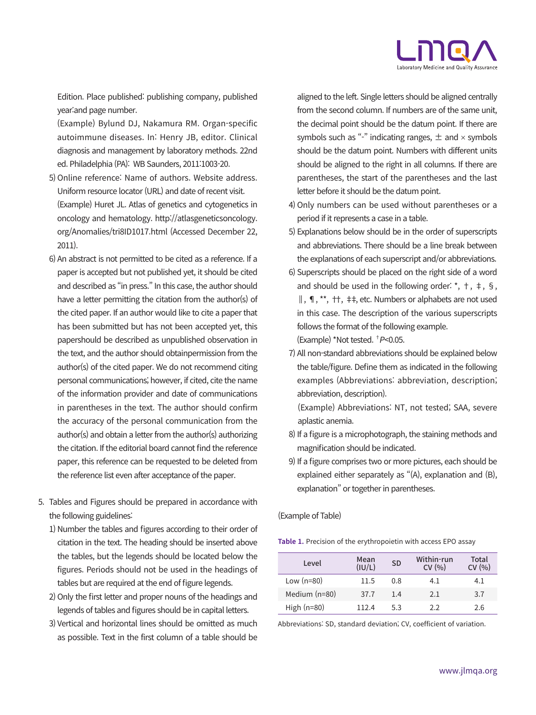

Edition. Place published: publishing company, published year:and page number.

(Example) Bylund DJ, Nakamura RM. Organ-specific autoimmune diseases. In: Henry JB, editor. Clinical diagnosis and management by laboratory methods. 22nd ed. Philadelphia (PA): WB Saunders, 2011:1003-20.

- 5) Online reference: Name of authors. Website address. Uniform resource locator (URL) and date of recent visit. (Example) Huret JL. Atlas of genetics and cytogenetics in oncology and hematology. http://atlasgeneticsoncology. org/Anomalies/tri8ID1017.html (Accessed December 22, 2011).
- 6) An abstract is not permitted to be cited as a reference. If a paper is accepted but not published yet, it should be cited and described as "in press." In this case, the author should have a letter permitting the citation from the author(s) of the cited paper. If an author would like to cite a paper that has been submitted but has not been accepted yet, this papershould be described as unpublished observation in the text, and the author should obtainpermission from the author(s) of the cited paper. We do not recommend citing personal communications; however, if cited, cite the name of the information provider and date of communications in parentheses in the text. The author should confirm the accuracy of the personal communication from the author(s) and obtain a letter from the author(s) authorizing the citation. If the editorial board cannot find the reference paper, this reference can be requested to be deleted from the reference list even after acceptance of the paper.
- 5. Tables and Figures should be prepared in accordance with the following guidelines:
	- 1) Number the tables and figures according to their order of citation in the text. The heading should be inserted above the tables, but the legends should be located below the figures. Periods should not be used in the headings of tables but are required at the end of figure legends.
	- 2) Only the first letter and proper nouns of the headings and legends of tables and figures should be in capital letters.
	- 3) Vertical and horizontal lines should be omitted as much as possible. Text in the first column of a table should be

aligned to the left. Single letters should be aligned centrally from the second column. If numbers are of the same unit, the decimal point should be the datum point. If there are symbols such as "-" indicating ranges,  $\pm$  and  $\times$  symbols should be the datum point. Numbers with different units should be aligned to the right in all columns. If there are parentheses, the start of the parentheses and the last letter before it should be the datum point.

- 4) Only numbers can be used without parentheses or a period if it represents a case in a table.
- 5) Explanations below should be in the order of superscripts and abbreviations. There should be a line break between the explanations of each superscript and/or abbreviations.
- 6) Superscripts should be placed on the right side of a word and should be used in the following order:  $\dot{a}$ ,  $\dot{b}$ ,  $\dot{c}$ ,  $\dot{c}$ ,  $\dot{c}$ ,  $\dot{c}$ ,  $\dot{c}$ ,  $\dot{c}$ ,  $\dot{c}$ ,  $\dot{c}$ ,  $\dot{c}$ ,  $\dot{c}$ ,  $\dot{c}$ ,  $\dot{c}$ ,  $\dot{c}$ ,  $\dot{c}$ ,  $\dot{c}$ ,  $\dot{c}$ ,  $\dot{c}$ ,  $\dot{c}$ **∥**, ¶, \*\*, ††, ‡‡ , etc. Numbers or alphabets are not used in this case. The description of the various superscripts follows the format of the following example. (Example) \*Not tested. † <sup>P</sup><0.05.
	- 7) All non-standard abbreviations should be explained below the table/figure. Define them as indicated in the following examples (Abbreviations: abbreviation, description; abbreviation, description).

 (Example) Abbreviations: NT, not tested; SAA, severe aplastic anemia.

- 8) If a figure is a microphotograph, the staining methods and magnification should be indicated.
- 9) If a figure comprises two or more pictures, each should be explained either separately as "(A), explanation and (B), explanation" or together in parentheses.

(Example of Table)

**Table 1.** Precision of the erythropoietin with access EPO assay

| Level           | Mean<br>(IU/L) | <b>SD</b> | Within-run<br>CV(96) | Total<br>CV(%) |
|-----------------|----------------|-----------|----------------------|----------------|
| Low $(n=80)$    | 11.5           | 0.8       | 4.1                  | 4.1            |
| Medium $(n=80)$ | 37.7           | 1.4       | 2.1                  | 3.7            |
| High $(n=80)$   | 112.4          | 5.3       | 2.2                  | 2.6            |

Abbreviations: SD, standard deviation; CV, coefficient of variation.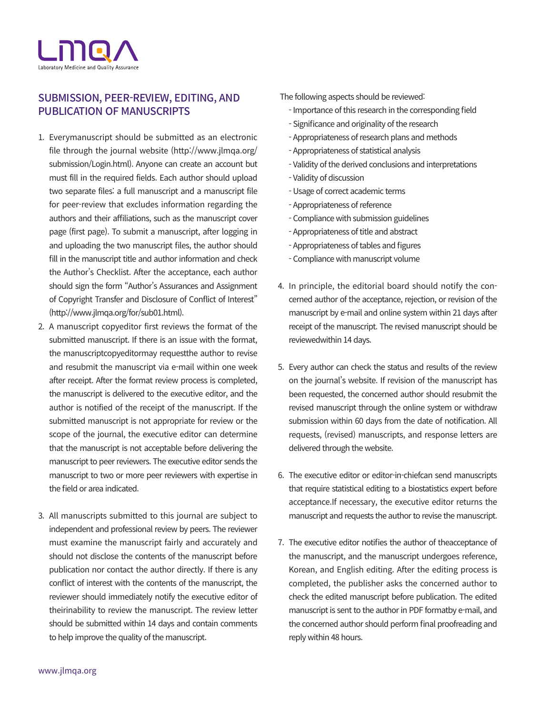

## SUBMISSION, PEER-REVIEW, EDITING, AND PUBLICATION OF MANUSCRIPTS

- 1. Everymanuscript should be submitted as an electronic file through the journal website (http://www.jlmqa.org/ submission/Login.html). Anyone can create an account but must fill in the required fields. Each author should upload two separate files: a full manuscript and a manuscript file for peer-review that excludes information regarding the authors and their affiliations, such as the manuscript cover page (first page). To submit a manuscript, after logging in and uploading the two manuscript files, the author should fill in the manuscript title and author information and check the Author's Checklist. After the acceptance, each author should sign the form "Author's Assurances and Assignment of Copyright Transfer and Disclosure of Conflict of Interest" (http://www.jlmqa.org/for/sub01.html).
- 2. A manuscript copyeditor first reviews the format of the submitted manuscript. If there is an issue with the format, the manuscriptcopyeditormay requestthe author to revise and resubmit the manuscript via e-mail within one week after receipt. After the format review process is completed, the manuscript is delivered to the executive editor, and the author is notified of the receipt of the manuscript. If the submitted manuscript is not appropriate for review or the scope of the journal, the executive editor can determine that the manuscript is not acceptable before delivering the manuscript to peer reviewers. The executive editor sends the manuscript to two or more peer reviewers with expertise in the field or area indicated.
- 3. All manuscripts submitted to this journal are subject to independent and professional review by peers. The reviewer must examine the manuscript fairly and accurately and should not disclose the contents of the manuscript before publication nor contact the author directly. If there is any conflict of interest with the contents of the manuscript, the reviewer should immediately notify the executive editor of theirinability to review the manuscript. The review letter should be submitted within 14 days and contain comments to help improve the quality of the manuscript.

#### The following aspects should be reviewed:

- Importance of this research in the corresponding field
- Significance and originality of the research
- Appropriateness of research plans and methods
- Appropriateness of statistical analysis
- Validity of the derived conclusions and interpretations
- Validity of discussion
- Usage of correct academic terms
- Appropriateness of reference
- Compliance with submission guidelines
- Appropriateness of title and abstract
- Appropriateness of tables and figures
- Compliance with manuscript volume
- 4. In principle, the editorial board should notify the concerned author of the acceptance, rejection, or revision of the manuscript by e-mail and online system within 21 days after receipt of the manuscript. The revised manuscript should be reviewedwithin 14 days.
- 5. Every author can check the status and results of the review on the journal's website. If revision of the manuscript has been requested, the concerned author should resubmit the revised manuscript through the online system or withdraw submission within 60 days from the date of notification. All requests, (revised) manuscripts, and response letters are delivered through the website.
- 6. The executive editor or editor-in-chiefcan send manuscripts that require statistical editing to a biostatistics expert before acceptance.If necessary, the executive editor returns the manuscript and requests the author to revise the manuscript.
- 7. The executive editor notifies the author of theacceptance of the manuscript, and the manuscript undergoes reference, Korean, and English editing. After the editing process is completed, the publisher asks the concerned author to check the edited manuscript before publication. The edited manuscript is sent to the author in PDF formatby e-mail, and the concerned author should perform final proofreading and reply within 48 hours.